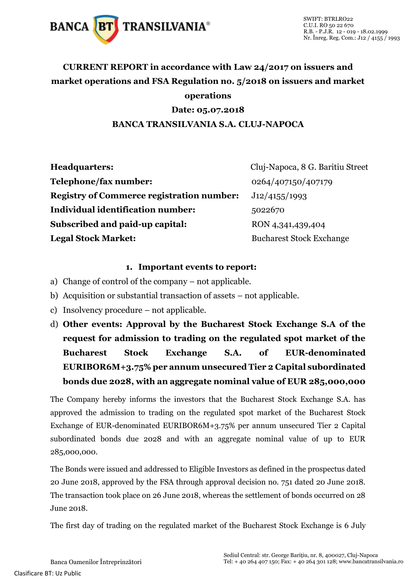

### **CURRENT REPORT in accordance with Law 24/2017 on issuers and market operations and FSA Regulation no. 5/2018 on issuers and market operations Date: 05.07.2018**

#### **BANCA TRANSILVANIA S.A. CLUJ-NAPOCA**

| <b>Headquarters:</b>                             | Cluj-Napoca, 8 G. Baritiu Street |
|--------------------------------------------------|----------------------------------|
| Telephone/fax number:                            | 0264/407150/407179               |
| <b>Registry of Commerce registration number:</b> | J12/4155/1993                    |
| Individual identification number:                | 5022670                          |
| Subscribed and paid-up capital:                  | RON 4,341,439,404                |
| <b>Legal Stock Market:</b>                       | <b>Bucharest Stock Exchange</b>  |

#### **1. Important events to report:**

- a) Change of control of the company not applicable.
- b) Acquisition or substantial transaction of assets not applicable.
- c) Insolvency procedure not applicable.
- d) **Other events: Approval by the Bucharest Stock Exchange S.A of the request for admission to trading on the regulated spot market of the Bucharest Stock Exchange S.A. of EUR-denominated EURIBOR6M+3.75% per annum unsecured Tier 2 Capital subordinated bonds due 2028, with an aggregate nominal value of EUR 285,000,000**

The Company hereby informs the investors that the Bucharest Stock Exchange S.A. has approved the admission to trading on the regulated spot market of the Bucharest Stock Exchange of EUR-denominated EURIBOR6M+3.75% per annum unsecured Tier 2 Capital subordinated bonds due 2028 and with an aggregate nominal value of up to EUR 285,000,000.

The Bonds were issued and addressed to Eligible Investors as defined in the prospectus dated 20 June 2018, approved by the FSA through approval decision no. 751 dated 20 June 2018. The transaction took place on 26 June 2018, whereas the settlement of bonds occurred on 28 June 2018.

The first day of trading on the regulated market of the Bucharest Stock Exchange is 6 July